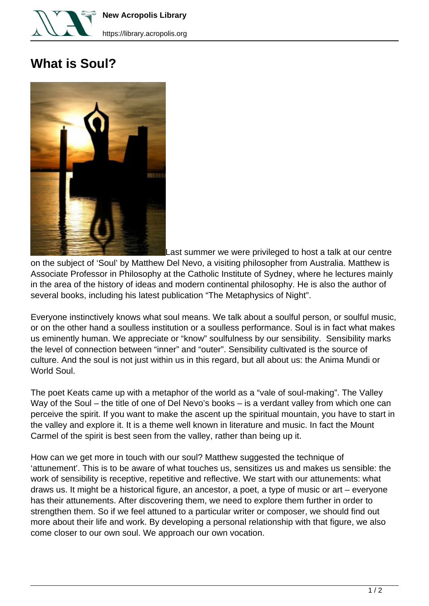

**New Acropolis Library**

## **What is Soul?**



Last summer we were privileged to host a talk at our centre

on the subject of 'Soul' by Matthew Del Nevo, a visiting philosopher from Australia. Matthew is Associate Professor in Philosophy at the Catholic Institute of Sydney, where he lectures mainly in the area of the history of ideas and modern continental philosophy. He is also the author of several books, including his latest publication "The Metaphysics of Night".

Everyone instinctively knows what soul means. We talk about a soulful person, or soulful music, or on the other hand a soulless institution or a soulless performance. Soul is in fact what makes us eminently human. We appreciate or "know" soulfulness by our sensibility. Sensibility marks the level of connection between "inner" and "outer". Sensibility cultivated is the source of culture. And the soul is not just within us in this regard, but all about us: the Anima Mundi or World Soul.

The poet Keats came up with a metaphor of the world as a "vale of soul-making". The Valley Way of the Soul – the title of one of Del Nevo's books – is a verdant valley from which one can perceive the spirit. If you want to make the ascent up the spiritual mountain, you have to start in the valley and explore it. It is a theme well known in literature and music. In fact the Mount Carmel of the spirit is best seen from the valley, rather than being up it.

How can we get more in touch with our soul? Matthew suggested the technique of 'attunement'. This is to be aware of what touches us, sensitizes us and makes us sensible: the work of sensibility is receptive, repetitive and reflective. We start with our attunements: what draws us. It might be a historical figure, an ancestor, a poet, a type of music or art – everyone has their attunements. After discovering them, we need to explore them further in order to strengthen them. So if we feel attuned to a particular writer or composer, we should find out more about their life and work. By developing a personal relationship with that figure, we also come closer to our own soul. We approach our own vocation.